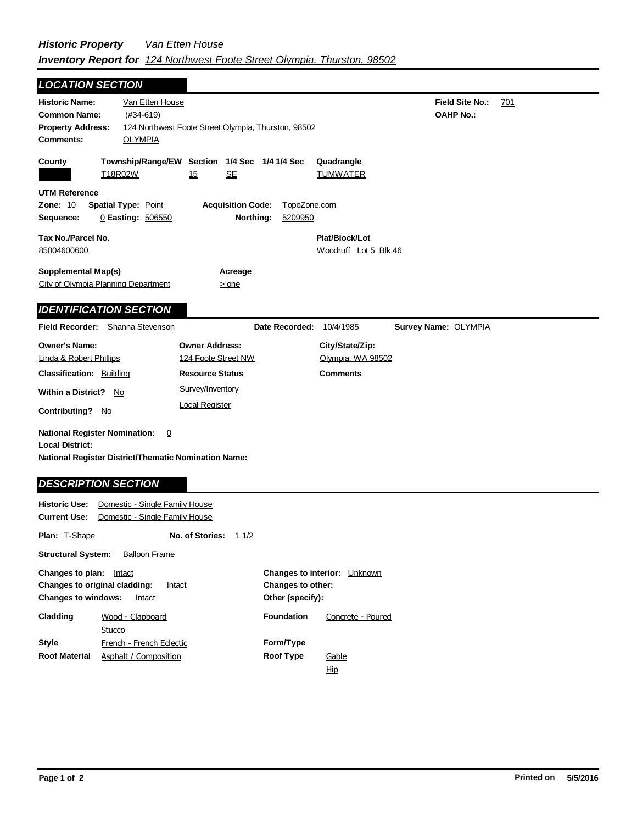## *Historic Property Van Etten House Inventory Report for 124 Northwest Foote Street Olympia, Thurston, 98502*

| <b>LOCATION SECTION</b>                                                                                                                          |                                                                  |                                            |  |
|--------------------------------------------------------------------------------------------------------------------------------------------------|------------------------------------------------------------------|--------------------------------------------|--|
| <b>Historic Name:</b><br>Van Etten House<br>$(#34-619)$<br><b>Common Name:</b><br><b>Property Address:</b><br><b>Comments:</b><br><b>OLYMPIA</b> | 124 Northwest Foote Street Olympia, Thurston, 98502              | Field Site No.:<br>701<br><b>OAHP No.:</b> |  |
| County<br>T18R02W                                                                                                                                | Township/Range/EW Section 1/4 Sec 1/4 1/4 Sec<br>15<br><b>SE</b> | Quadrangle<br><b>TUMWATER</b>              |  |
| <b>UTM Reference</b><br><b>Zone: 10</b><br><b>Spatial Type: Point</b><br>Sequence:<br>0 Easting: 506550                                          | <b>Acquisition Code:</b><br>TopoZone.com<br>Northing:<br>5209950 |                                            |  |
| Tax No./Parcel No.<br>85004600600                                                                                                                |                                                                  | Plat/Block/Lot<br>Woodruff Lot 5 Blk 46    |  |
| <b>Supplemental Map(s)</b><br>City of Olympia Planning Department                                                                                | Acreage<br>$>$ one                                               |                                            |  |
| <b>IDENTIFICATION SECTION</b>                                                                                                                    |                                                                  |                                            |  |
| <b>Field Recorder:</b><br>Shanna Stevenson                                                                                                       | Date Recorded:                                                   | 10/4/1985<br>Survey Name: OLYMPIA          |  |
| <b>Owner's Name:</b><br><b>Linda &amp; Robert Phillips</b>                                                                                       | <b>Owner Address:</b><br>124 Foote Street NW                     | City/State/Zip:<br>Olympia, WA 98502       |  |
| <b>Classification: Building</b>                                                                                                                  | <b>Resource Status</b>                                           | <b>Comments</b>                            |  |
| <b>Within a District?</b><br>No<br><b>Contributing?</b><br>No.                                                                                   | Survey/Inventory<br><b>Local Register</b>                        |                                            |  |
| <b>National Register Nomination:</b><br>0<br><b>Local District:</b><br>National Register District/Thematic Nomination Name:                      |                                                                  |                                            |  |
| <b>DESCRIPTION SECTION</b>                                                                                                                       |                                                                  |                                            |  |
| Domestic - Single Family House<br><b>Historic Use:</b><br><b>Current Use:</b><br>Domestic - Single Family House                                  |                                                                  |                                            |  |
| <b>Plan: T-Shape</b>                                                                                                                             | No. of Stories:<br>11/2                                          |                                            |  |

| <b>Structural System:</b>                                                                                     | <b>Balloon Frame</b>     |                                                                                        |                   |
|---------------------------------------------------------------------------------------------------------------|--------------------------|----------------------------------------------------------------------------------------|-------------------|
| Changes to plan:<br>Intact<br>Changes to original cladding:<br>Intact<br><b>Changes to windows:</b><br>Intact |                          | <b>Changes to interior:</b><br>Unknown<br><b>Changes to other:</b><br>Other (specify): |                   |
| Cladding                                                                                                      | Wood - Clapboard         | <b>Foundation</b>                                                                      | Concrete - Poured |
|                                                                                                               | Stucco                   |                                                                                        |                   |
| <b>Style</b>                                                                                                  | French - French Eclectic | Form/Type                                                                              |                   |
| <b>Roof Material</b>                                                                                          | Asphalt / Composition    | <b>Roof Type</b>                                                                       | Gable             |
|                                                                                                               |                          |                                                                                        | Hip               |